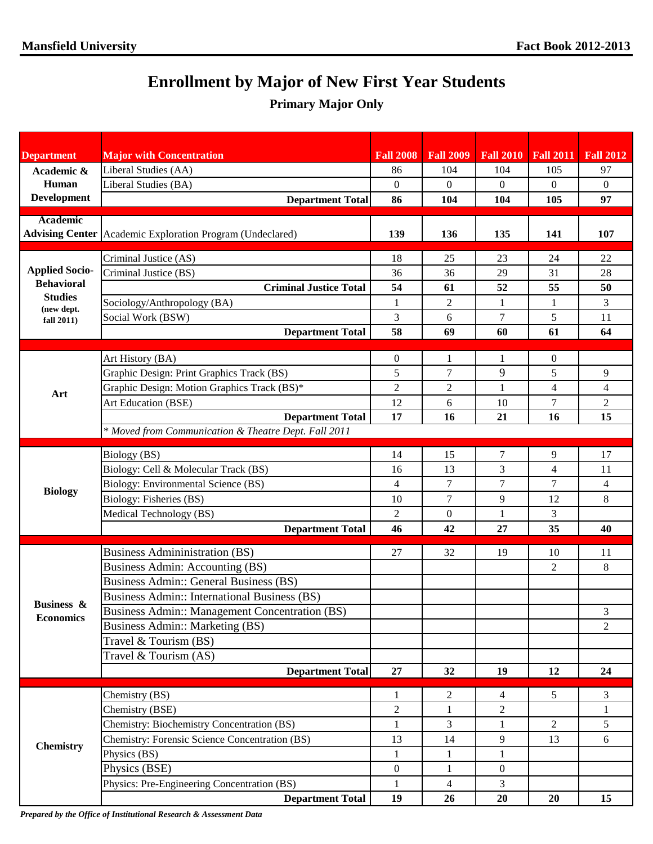## **Enrollment by Major of New First Year Students**

## **Primary Major Only**

| <b>Major with Concentration</b><br><b>Fall 2008</b><br><b>Fall 2009</b><br><b>Fall 2010</b><br><b>Fall 2011</b><br><b>Department</b> | <b>Fall 2012</b> |
|--------------------------------------------------------------------------------------------------------------------------------------|------------------|
| Liberal Studies (AA)<br>86<br>104<br>104<br>105<br>Academic &                                                                        | 97               |
| Human<br>Liberal Studies (BA)<br>$\overline{0}$<br>$\mathbf{0}$<br>$\boldsymbol{0}$<br>$\overline{0}$                                | $\mathbf{0}$     |
| <b>Development</b><br><b>Department Total</b><br>86<br>104<br>104<br>105                                                             | 97               |
| <b>Academic</b>                                                                                                                      |                  |
| Advising Center Academic Exploration Program (Undeclared)<br>139<br>136<br>135<br>141                                                | 107              |
| Criminal Justice (AS)<br>18<br>23<br>24<br>25                                                                                        | 22               |
| <b>Applied Socio-</b><br>Criminal Justice (BS)<br>36<br>29<br>31<br>36                                                               | 28               |
| <b>Behavioral</b><br><b>Criminal Justice Total</b><br>54<br>52<br>55<br>61                                                           | 50               |
| <b>Studies</b><br>Sociology/Anthropology (BA)<br>$\overline{c}$<br>$\mathbf{1}$<br>$\mathbf{1}$<br>$\mathbf{1}$<br>(new dept.        | 3                |
| 5<br>Social Work (BSW)<br>3<br>7<br>6<br>fall 2011)                                                                                  | 11               |
| 58<br><b>Department Total</b><br>69<br>60<br>61                                                                                      | 64               |
|                                                                                                                                      |                  |
| Art History (BA)<br>$\boldsymbol{0}$<br>$\mathbf{1}$<br>0<br>1                                                                       |                  |
| 9<br>5<br>5<br>Graphic Design: Print Graphics Track (BS)<br>7                                                                        | 9                |
| Graphic Design: Motion Graphics Track (BS)*<br>$\overline{c}$<br>$\overline{4}$<br>$\overline{c}$<br>1<br>Art                        | $\overline{4}$   |
| Art Education (BSE)<br>7<br>12<br>6<br>10<br><b>Department Total</b><br>17<br>16                                                     | $\sqrt{2}$<br>15 |
| 16<br>21<br>* Moved from Communication & Theatre Dept. Fall 2011                                                                     |                  |
|                                                                                                                                      |                  |
| Biology (BS)<br>14<br>7<br>9<br>15                                                                                                   | 17               |
| 3<br>Biology: Cell & Molecular Track (BS)<br>$\overline{4}$<br>13<br>16                                                              | 11               |
| Biology: Environmental Science (BS)<br>7<br>7<br>4<br>7<br><b>Biology</b>                                                            | 4                |
| Biology: Fisheries (BS)<br>$\tau$<br>9<br>12<br>10                                                                                   | 8                |
| 3<br>$\overline{2}$<br>Medical Technology (BS)<br>$\boldsymbol{0}$<br>1                                                              |                  |
| <b>Department Total</b><br>35<br>46<br>27<br>42                                                                                      | 40               |
| <b>Business Admininistration (BS)</b><br>27<br>32<br>19<br>10                                                                        | 11               |
| Business Admin: Accounting (BS)<br>$\overline{2}$                                                                                    | 8                |
| <b>Business Admin:: General Business (BS)</b>                                                                                        |                  |
| Business Admin:: International Business (BS)                                                                                         |                  |
| <b>Business &amp;</b><br>Business Admin:: Management Concentration (BS)                                                              | 3                |
| <b>Economics</b><br>Business Admin:: Marketing (BS)                                                                                  | $\overline{2}$   |
| Travel & Tourism (BS)                                                                                                                |                  |
| Travel & Tourism (AS)                                                                                                                |                  |
| 27<br><b>Department Total</b><br>32<br>19<br>12                                                                                      | 24               |
| Chemistry (BS)<br>5<br>2<br>4<br>1                                                                                                   | 3                |
| Chemistry (BSE)<br>$\overline{c}$<br>$\overline{c}$<br>$\mathbf{1}$                                                                  | 1                |
| <b>Chemistry: Biochemistry Concentration (BS)</b><br>3<br>$\overline{2}$<br>1<br>1                                                   | 5                |
| Chemistry: Forensic Science Concentration (BS)<br>13<br>9<br>13<br>14                                                                | 6                |
| <b>Chemistry</b><br>Physics (BS)<br>1<br>$\mathbf{1}$<br>1                                                                           |                  |
| Physics (BSE)<br>$\boldsymbol{0}$<br>$\overline{0}$<br>$\mathbf{1}$                                                                  |                  |
| $\overline{3}$<br>Physics: Pre-Engineering Concentration (BS)<br>$\mathbf{1}$<br>$\overline{4}$                                      |                  |
| <b>Department Total</b><br>19<br>20<br>26<br>20                                                                                      | 15               |

*Prepared by the Office of Institutional Research & Assessment Data*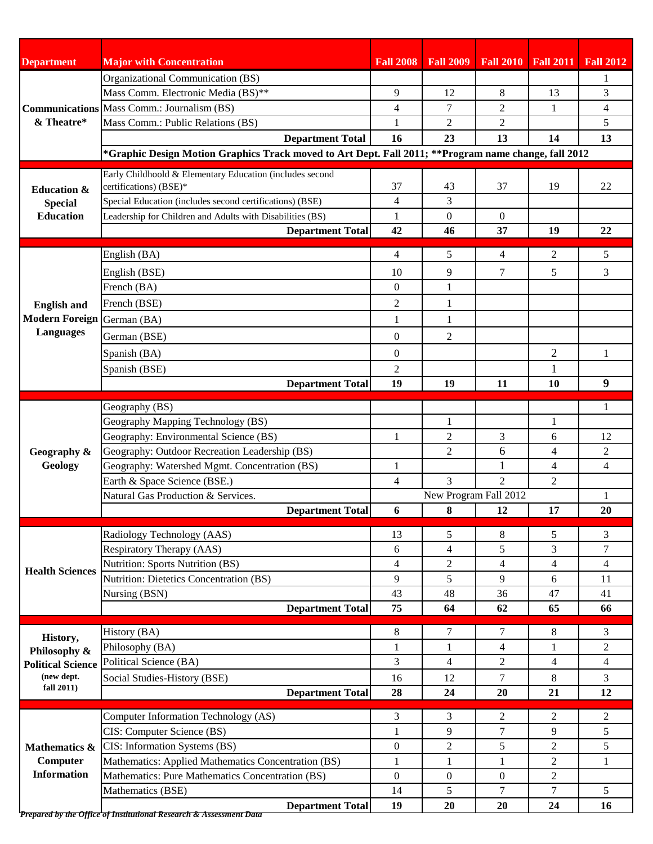| <b>Department</b>                                            | <b>Major with Concentration</b>                                                                      | <b>Fall 2008</b> | <b>Fall 2009</b>           |                |                | <b>Fall 2010</b> Fall 2011 Fall 2012 |
|--------------------------------------------------------------|------------------------------------------------------------------------------------------------------|------------------|----------------------------|----------------|----------------|--------------------------------------|
|                                                              | Organizational Communication (BS)                                                                    |                  |                            |                |                | 1                                    |
|                                                              | Mass Comm. Electronic Media (BS)**                                                                   | 9                | 12                         | 8              | 13             | 3                                    |
|                                                              | <b>Communications</b> Mass Comm.: Journalism (BS)                                                    | 4                | 7                          | $\overline{2}$ | $\mathbf{1}$   | $\overline{4}$                       |
| & Theatre*                                                   | Mass Comm.: Public Relations (BS)                                                                    | 1                | $\overline{2}$             | 2              |                | 5                                    |
|                                                              | <b>Department Total</b>                                                                              | 16               | 23                         | 13             | 14             | 13                                   |
|                                                              | *Graphic Design Motion Graphics Track moved to Art Dept. Fall 2011; **Program name change, fall 2012 |                  |                            |                |                |                                      |
|                                                              |                                                                                                      |                  |                            |                |                |                                      |
| <b>Education &amp;</b><br><b>Special</b><br><b>Education</b> | Early Childhoold & Elementary Education (includes second<br>certifications) (BSE)*                   | 37               | 43                         | 37             | 19             | 22                                   |
|                                                              | Special Education (includes second certifications) (BSE)                                             | 4                | 3                          |                |                |                                      |
|                                                              | Leadership for Children and Adults with Disabilities (BS)                                            | 1                | $\theta$                   | $\theta$       |                |                                      |
|                                                              | <b>Department Total</b>                                                                              | 42               | 46                         | 37             | 19             | 22                                   |
|                                                              |                                                                                                      |                  |                            |                |                |                                      |
|                                                              | English (BA)                                                                                         | 4                | 5                          | 4              | 2              | 5                                    |
|                                                              | English (BSE)                                                                                        | 10               | 9                          | 7              | 5              | 3                                    |
|                                                              | French (BA)                                                                                          | $\overline{0}$   | $\mathbf{1}$               |                |                |                                      |
| <b>English and</b>                                           | French (BSE)                                                                                         | 2                | $\mathbf{1}$               |                |                |                                      |
| Modern Foreign German (BA)                                   |                                                                                                      | 1                | 1                          |                |                |                                      |
| <b>Languages</b>                                             | German (BSE)                                                                                         | $\overline{0}$   | $\overline{2}$             |                |                |                                      |
|                                                              | Spanish (BA)                                                                                         | $\overline{0}$   |                            |                | $\overline{2}$ | 1                                    |
|                                                              | Spanish (BSE)                                                                                        | 2                |                            |                | 1              |                                      |
|                                                              | <b>Department Total</b>                                                                              | 19               | 19                         | 11             | 10             | 9                                    |
|                                                              |                                                                                                      |                  |                            |                |                |                                      |
|                                                              | Geography (BS)                                                                                       |                  |                            |                |                | 1                                    |
|                                                              | Geography Mapping Technology (BS)                                                                    |                  | 1                          |                | 1              |                                      |
| Geography &<br>Geology                                       | Geography: Environmental Science (BS)                                                                | 1                | $\overline{c}$             | 3              | 6              | 12                                   |
|                                                              | Geography: Outdoor Recreation Leadership (BS)                                                        |                  | $\overline{2}$             | 6              | $\overline{4}$ | $\overline{2}$                       |
|                                                              | Geography: Watershed Mgmt. Concentration (BS)                                                        | 1                |                            | $\mathbf{1}$   | $\overline{4}$ | 4                                    |
|                                                              | Earth & Space Science (BSE.)                                                                         | 4                | 3                          | $\overline{c}$ | $\overline{2}$ |                                      |
|                                                              | Natural Gas Production & Services.                                                                   | 6                | New Program Fall 2012<br>8 | 12             | 17             | 20                                   |
|                                                              | <b>Department Total</b>                                                                              |                  |                            |                |                |                                      |
|                                                              | Radiology Technology (AAS)                                                                           | 13               | 5                          | 8              | 5              | 3                                    |
|                                                              | Respiratory Therapy (AAS)                                                                            | 6                | 4                          | 5              | 3              | $\tau$                               |
| <b>Health Sciences</b>                                       | <b>Nutrition: Sports Nutrition (BS)</b>                                                              | $\overline{4}$   | $\overline{2}$             | 4              | $\overline{4}$ | $\overline{4}$                       |
|                                                              | <b>Nutrition: Dietetics Concentration (BS)</b>                                                       | 9                | 5                          | 9              | 6              | 11                                   |
|                                                              | Nursing (BSN)                                                                                        | 43               | 48                         | 36             | 47             | 41                                   |
|                                                              | <b>Department Total</b>                                                                              | 75               | 64                         | 62             | 65             | 66                                   |
|                                                              | History (BA)                                                                                         | 8                | 7                          | 7              | 8              | 3                                    |
| History,                                                     | Philosophy (BA)                                                                                      | $\mathbf{1}$     | $\mathbf{1}$               | 4              | $\mathbf{1}$   | $\mathbf{2}$                         |
| Philosophy &<br><b>Political Science</b><br>(new dept.       | Political Science (BA)                                                                               | 3                | 4                          | $\overline{c}$ | 4              | $\overline{4}$                       |
|                                                              | Social Studies-History (BSE)                                                                         | 16               | 12                         | $\tau$         | 8              | 3                                    |
| fall $2011$ )                                                | <b>Department Total</b>                                                                              | 28               | 24                         | 20             | 21             | 12                                   |
|                                                              |                                                                                                      |                  |                            |                |                |                                      |
|                                                              | Computer Information Technology (AS)                                                                 | 3                | 3                          | 2              | 2              | 2                                    |
| Mathematics &<br>Computer<br><b>Information</b>              | CIS: Computer Science (BS)                                                                           | $\mathbf{1}$     | 9                          | 7              | 9              | 5                                    |
|                                                              | CIS: Information Systems (BS)                                                                        | $\overline{0}$   | $\overline{2}$             | 5              | $\overline{2}$ | 5                                    |
|                                                              | Mathematics: Applied Mathematics Concentration (BS)                                                  | 1                | 1                          | 1              | $\overline{2}$ | 1                                    |
|                                                              | Mathematics: Pure Mathematics Concentration (BS)                                                     | $\overline{0}$   | $\boldsymbol{0}$           | $\overline{0}$ | $\overline{2}$ |                                      |
|                                                              | Mathematics (BSE)                                                                                    | 14               | 5                          | 7              | $\tau$         | 5                                    |
|                                                              | <b>Department Total</b><br>Prepared by the Office of Institutional Research & Assessment Data        | 19               | 20                         | 20             | 24             | 16                                   |